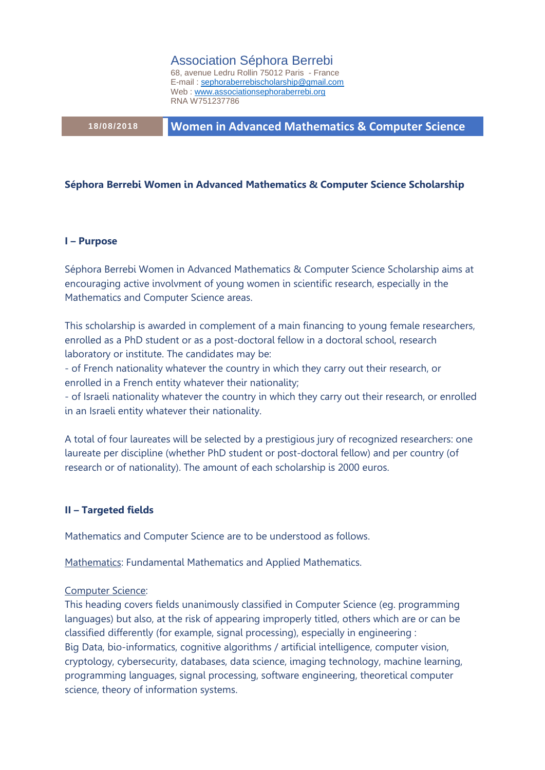Association Séphora Berrebi

68, avenue Ledru Rollin 75012 Paris - France E-mail [: sephoraberrebischolarship@gmail.com](mailto:sephoraberrebischolarship@gmail.com) Web [: www.associationsephoraberrebi.org](http://www.associationsephoraberrebi.org/) RNA W751237786

**18/08/2018 Women in Advanced Mathematics & Computer Science**

#### **Séphora Berrebi Women in Advanced Mathematics & Computer Science Scholarship**

#### **I – Purpose**

Séphora Berrebi Women in Advanced Mathematics & Computer Science Scholarship aims at encouraging active involvment of young women in scientific research, especially in the Mathematics and Computer Science areas.

This scholarship is awarded in complement of a main financing to young female researchers, enrolled as a PhD student or as a post-doctoral fellow in a doctoral school, research laboratory or institute. The candidates may be:

- of French nationality whatever the country in which they carry out their research, or enrolled in a French entity whatever their nationality;

- of Israeli nationality whatever the country in which they carry out their research, or enrolled in an Israeli entity whatever their nationality.

A total of four laureates will be selected by a prestigious jury of recognized researchers: one laureate per discipline (whether PhD student or post-doctoral fellow) and per country (of research or of nationality). The amount of each scholarship is 2000 euros.

## **II – Targeted fields**

Mathematics and Computer Science are to be understood as follows.

Mathematics: Fundamental Mathematics and Applied Mathematics.

#### Computer Science:

This heading covers fields unanimously classified in Computer Science (eg. programming languages) but also, at the risk of appearing improperly titled, others which are or can be classified differently (for example, signal processing), especially in engineering : Big Data, bio-informatics, cognitive algorithms / artificial intelligence, computer vision, cryptology, cybersecurity, databases, data science, imaging technology, machine learning, programming languages, signal processing, software engineering, theoretical computer science, theory of information systems.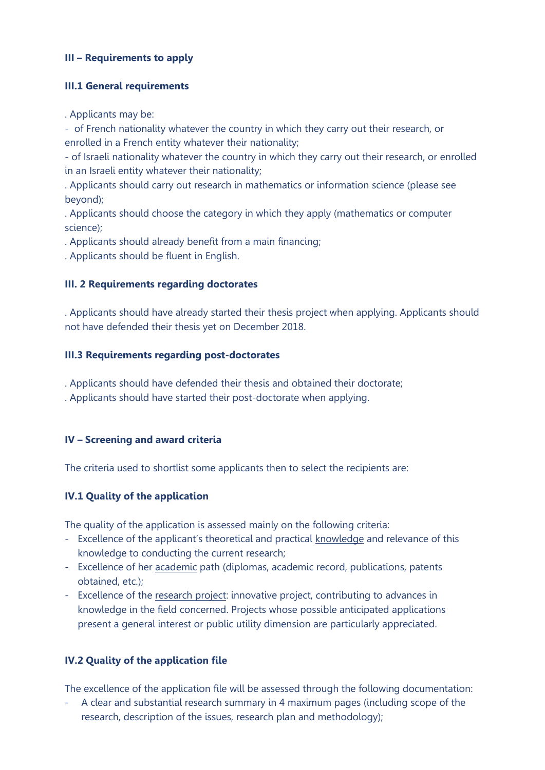# **III – Requirements to apply**

## **III.1 General requirements**

. Applicants may be:

- of French nationality whatever the country in which they carry out their research, or enrolled in a French entity whatever their nationality;

- of Israeli nationality whatever the country in which they carry out their research, or enrolled in an Israeli entity whatever their nationality;

. Applicants should carry out research in mathematics or information science (please see beyond);

. Applicants should choose the category in which they apply (mathematics or computer science);

. Applicants should already benefit from a main financing;

. Applicants should be fluent in English.

#### **III. 2 Requirements regarding doctorates**

. Applicants should have already started their thesis project when applying. Applicants should not have defended their thesis yet on December 2018.

#### **III.3 Requirements regarding post-doctorates**

. Applicants should have defended their thesis and obtained their doctorate;

. Applicants should have started their post-doctorate when applying.

## **IV – Screening and award criteria**

The criteria used to shortlist some applicants then to select the recipients are:

## **IV.1 Quality of the application**

The quality of the application is assessed mainly on the following criteria:

- Excellence of the applicant's theoretical and practical knowledge and relevance of this knowledge to conducting the current research;
- Excellence of her academic path (diplomas, academic record, publications, patents obtained, etc.);
- Excellence of the research project: innovative project, contributing to advances in knowledge in the field concerned. Projects whose possible anticipated applications present a general interest or public utility dimension are particularly appreciated.

## **IV.2 Quality of the application file**

The excellence of the application file will be assessed through the following documentation:

- A clear and substantial research summary in 4 maximum pages (including scope of the research, description of the issues, research plan and methodology);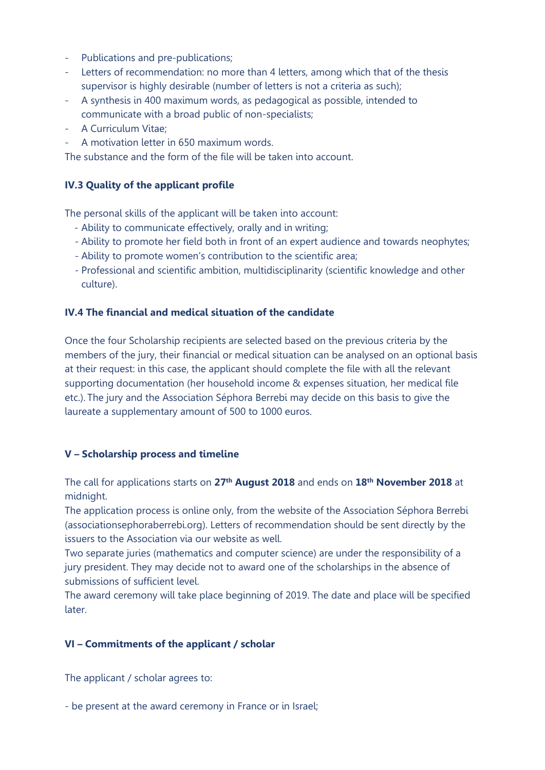- Publications and pre-publications;
- Letters of recommendation: no more than 4 letters, among which that of the thesis supervisor is highly desirable (number of letters is not a criteria as such);
- A synthesis in 400 maximum words, as pedagogical as possible, intended to communicate with a broad public of non-specialists;
- A Curriculum Vitae;
- A motivation letter in 650 maximum words.

The substance and the form of the file will be taken into account.

# **IV.3 Quality of the applicant profile**

The personal skills of the applicant will be taken into account:

- Ability to communicate effectively, orally and in writing;
- Ability to promote her field both in front of an expert audience and towards neophytes;
- Ability to promote women's contribution to the scientific area;
- Professional and scientific ambition, multidisciplinarity (scientific knowledge and other culture).

## **IV.4 The financial and medical situation of the candidate**

Once the four Scholarship recipients are selected based on the previous criteria by the members of the jury, their financial or medical situation can be analysed on an optional basis at their request: in this case, the applicant should complete the file with all the relevant supporting documentation (her household income & expenses situation, her medical file etc.). The jury and the Association Séphora Berrebi may decide on this basis to give the laureate a supplementary amount of 500 to 1000 euros.

## **V – Scholarship process and timeline**

The call for applications starts on **27th August 2018** and ends on **18th November 2018** at midnight.

The application process is online only, from the website of the Association Séphora Berrebi (associationsephoraberrebi.org). Letters of recommendation should be sent directly by the issuers to the Association via our website as well.

Two separate juries (mathematics and computer science) are under the responsibility of a jury president. They may decide not to award one of the scholarships in the absence of submissions of sufficient level.

The award ceremony will take place beginning of 2019. The date and place will be specified later.

# **VI – Commitments of the applicant / scholar**

The applicant / scholar agrees to:

- be present at the award ceremony in France or in Israel;